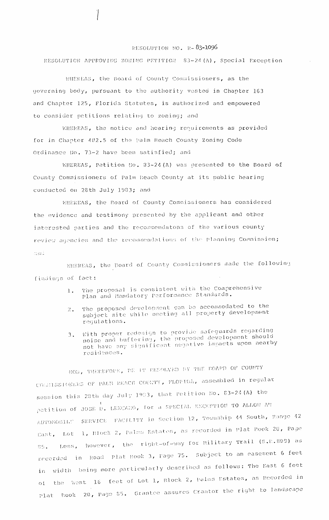## RESOLUTION NO.  $R = 83 - 1096$

RESOLUTION APPROVING ZONING PETITION 83-24(A), Special Exception

WHEREAS, the Board of County Commissioners, as the governing body, pursuant to the authority vested in Chapter 163 and Chapter 125, Florida Statutes, is authorized and empowered to consider petitions relating to zoning; and

WHEREAS, the notice and hearing requirements as provided for in Chapter 402.5 of the Palm Beach County Zoning Code Ordinance No. 73-2 have been satisfied; and

WHEREAS, Petition No. 33-24(A) was presented to the Board of County Commissioners of Palm Beach County at its public hearing conducted on 28th July 1983; and

WHEREAS, the Board of County Commissioners has considered the evidence and testimony presented by the applicant and other interested parties and the recommendatons of the various county review agencies and the recommendations of the Planning Commission; and

WHEREAS, the Board of County Commissioners made the following findings of fact:

- The proposal is consistent with the Comprehensive  $1$  . Plan and Mandatory Performance Standards.
- The proposed development can be accommodated to the  $2.$ subject site while meeting all property development requlations.
- 3. With proper redesign to provide safeguards regarding noise and buffering, the proposed development should not have any significant negative impacts upon nearby residences.

NOW, THEREFORE, BE IT EESOLVED BY THE BOARD OF COUNTY COGNISSIONERS OF PAUN BEACH COUNTY, FLORIDA, assembled in regular session this 28th day July 1983, that Petition No. 83-24(A) the petition of JOSE D. LEZCANO, for a SPECIAL EXCEPTION TO ALLOW AN AUTOMOBILE SERVICE FACILITY in Section 12, Township 44 South, Range 42 Cast, Lot 1, Block 2, Palms Estates, as recorded in Plat Book 20, Page Less, however, the right-of-way for Military Trail (S.R.809) as  $9.5$  . recorded in Road Plat Book 3, Page 75. Subject to an easement 6 feet width being more particularly described as follows: The East 6 feet in the West 16 feet of Lot 1, Block 2, Palms Estates, as Recorded in  $\circ$  1 Plat Rook 20, Page 85. Grantee assures Crantor the right to landscape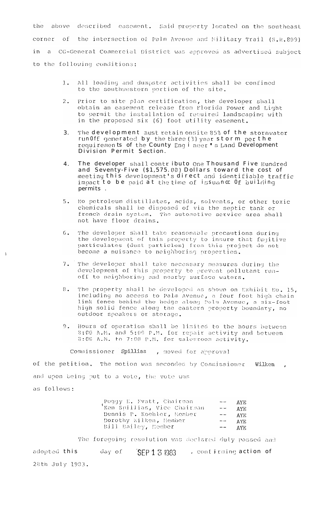the above described easement. Said property located on the southeast corner of the intersection of Palm Avenue and Military Trail (S.R.809) a CG-General Commercial District was approved as advertised subject in to the following conditions:

- All loading and dumpster activities shall be confined  $1$  . to the southwestern portion of the site.
- $2.1$ Prior to site plan certification, the developer shall obtain an easement release from Florida Power and Light<br>to permit the installation of required landscaping with in the proposed six (6) foot utility easement.
- The development must retain onsite 85% of the stormwater 3. run Off generated by the three (3) year storm per the<br>requirements of the County Engl neer's Land Development Division Permit Section.
- The developer shall contributo One Thousand Five Hundred  $\overline{4}$ and Seventy-Five (\$1,575.00) Dollars toward the cost of meeting this development's direct and identifiable traffic impact to be paid at the time of issuance Of building permits.
- $5.$ No petroleum distillates, acids, solvents, or other toxic chemicals shall be disposed of via the septic tank or french drain system. The automotive service area shall not have floor drains.
- The developer shall take reasonable precautions during  $6.$ the development of this property to insure that fugitive particulates (dust particles) from this project do not become a nuisance to neighboring properties.
- The developer shall take necessary measures during the development of this property to preveat pollutant run-off to neighboring and nearby surface waters.  $7.$
- $8.1$ The property shall be developed as shown on Exhibit No. 15, including no access to Palm Avenue, a four foot high chain link fence behind the hedge along Palm Avenue, a six-foot high solid fence along the eastern property boundary, no outdoor speakers or storage.
- Hours of operation shall be limited to the hours between<br>8:00 A.M. and 5:00 P.M. for repair activity and between<br>8:00 A.M. to 7:00 P.M. for salesroom activity.  $9.$

Commissioner Spillias , moved for approval

of the petition. The motion was seconded by Commissioner Wilken, and upon being put to a vote, the vote was  $F \cap 1$ 

| as roifows: |  |  |  |  |  |
|-------------|--|--|--|--|--|
|             |  |  |  |  |  |

 $\ddot{\ }$ 

| (Peggy E. Evatt, Chairman<br>'Ken Spillias, Vice Chairman |                                  | $--$ AYE    |
|-----------------------------------------------------------|----------------------------------|-------------|
|                                                           |                                  | $ -$ AYE    |
| Dennis P. Koehler, Member                                 | $- -$                            | AYE.        |
| Dorothy Wilken, Member                                    | $\sim$ 0.000 $\sim$ 0.000 $\sim$ | AYE.        |
| Bill Bailey, Member                                       |                                  | $-\sim$ AYE |

The foregoing resolution was declared duly passed and adopted this day of SEP 134983 , contirming action of 28th July 1983.